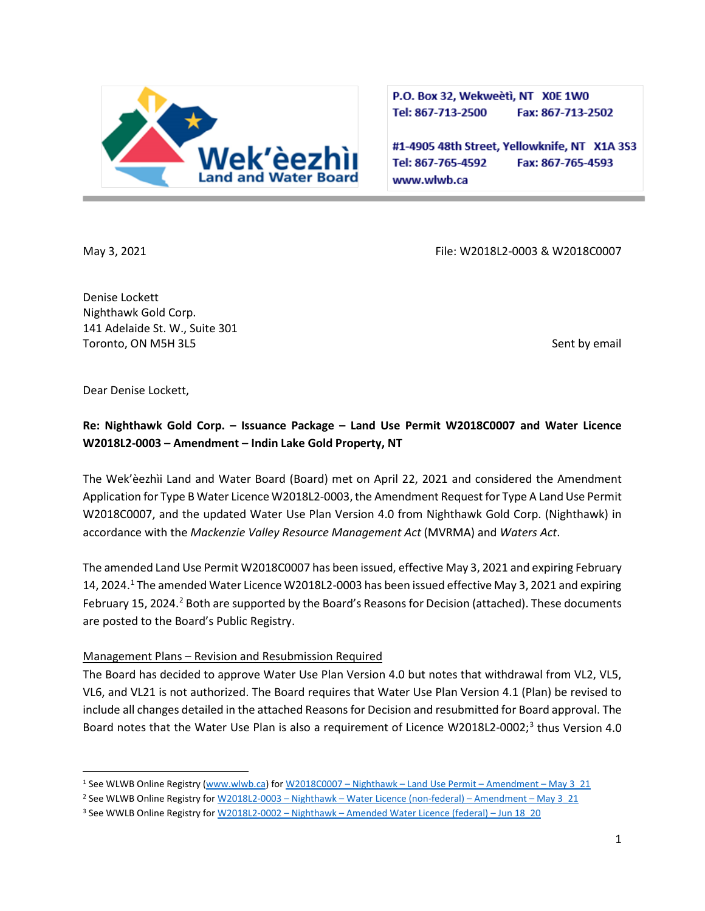

P.O. Box 32, Wekweeti, NT X0E 1W0 Tel: 867-713-2500 Fax: 867-713-2502

#1-4905 48th Street, Yellowknife, NT X1A 3S3 Tel: 867-765-4592 Fax: 867-765-4593 www.wlwb.ca

May 3, 2021 **May 3, 2021** File: W2018L2-0003 & W2018C0007

Denise Lockett Nighthawk Gold Corp. 141 Adelaide St. W., Suite 301 Toronto, ON M5H 3L5 Sent by email

Dear Denise Lockett,

# **Re: Nighthawk Gold Corp. – Issuance Package – Land Use Permit W2018C0007 and Water Licence W2018L2-0003 – Amendment – Indin Lake Gold Property, NT**

The Wek'èezhìi Land and Water Board (Board) met on April 22, 2021 and considered the Amendment Application for Type B Water Licence W2018L2-0003, the Amendment Request for Type A Land Use Permit W2018C0007, and the updated Water Use Plan Version 4.0 from Nighthawk Gold Corp. (Nighthawk) in accordance with the *Mackenzie Valley Resource Management Act* (MVRMA) and *Waters Act*.

The amended Land Use Permit W2018C0007 has been issued, effective May 3, 2021 and expiring February [1](#page-0-0)4, 2024.<sup>1</sup> The amended Water Licence W2018L2-0003 has been issued effective May 3, 2021 and expiring February 15, [2](#page-0-1)024.<sup>2</sup> Both are supported by the Board's Reasons for Decision (attached). These documents are posted to the Board's Public Registry.

## Management Plans – Revision and Resubmission Required

The Board has decided to approve Water Use Plan Version 4.0 but notes that withdrawal from VL2, VL5, VL6, and VL21 is not authorized. The Board requires that Water Use Plan Version 4.1 (Plan) be revised to include all changes detailed in the attached Reasons for Decision and resubmitted for Board approval. The Board notes that the Water Use Plan is also a requirement of Licence W2018L2-0002;<sup>[3](#page-0-2)</sup> thus Version 4.0

<span id="page-0-0"></span><sup>1</sup> See WLWB Online Registry [\(www.wlwb.ca\)](http://www.wlwb.ca/) for W2018C0007 – Nighthawk – [Land Use Permit –](http://registry.mvlwb.ca/Documents/W2018C0007/W2018C0007%20-%20Nighthawk%20-%20Land%20Use%20Permit%20-%20Amendment%20-%20May%203_21.pdf) Amendment – May 3\_21

<span id="page-0-1"></span><sup>&</sup>lt;sup>2</sup> See WLWB Online Registry for W2018L2-0003 - Nighthawk - Water Licence (non-federal) - Amendment - May 3\_21

<span id="page-0-2"></span><sup>3</sup> See WWLB Online Registry for W2018L2-0002 – Nighthawk – [Amended Water Licence \(federal\)](http://registry.mvlwb.ca/Documents/W2018L2-0002/W2018L2-0002%20-%20Nighthawk%20-%20Amended%20Water%20Licence%20(federal).pdf) – Jun 18\_20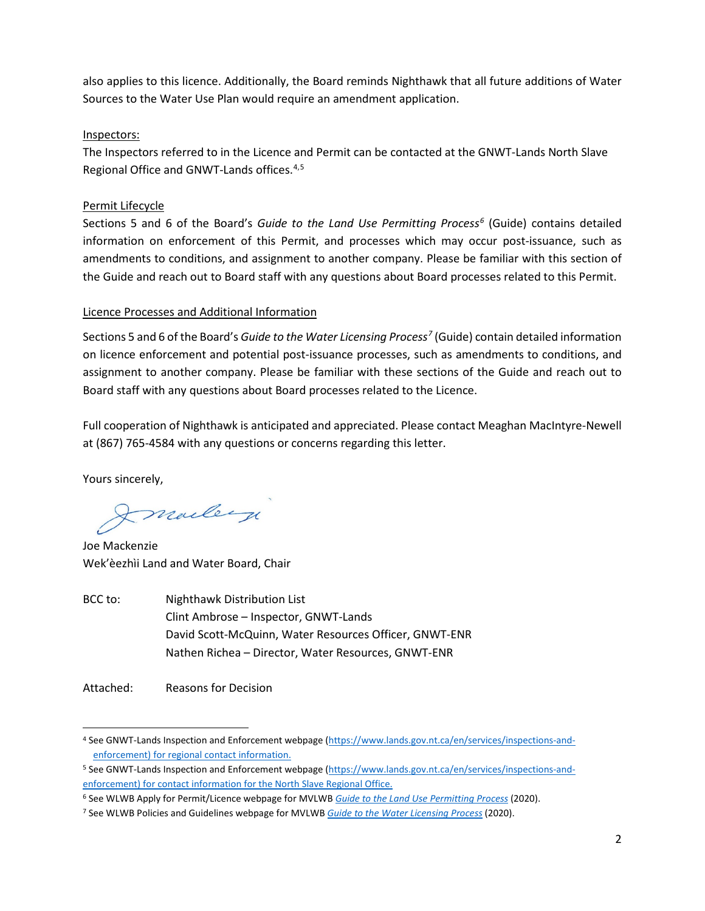also applies to this licence. Additionally, the Board reminds Nighthawk that all future additions of Water Sources to the Water Use Plan would require an amendment application.

### Inspectors:

The Inspectors referred to in the Licence and Permit can be contacted at the GNWT-Lands North Slave Regional Office and GNWT-Lands offices.[4,](#page-1-0)[5](#page-1-1)

## Permit Lifecycle

Sections 5 and 6 of the Board's *Guide to the Land Use Permitting Process[6](#page-1-2)* (Guide) contains detailed information on enforcement of this Permit, and processes which may occur post-issuance, such as amendments to conditions, and assignment to another company. Please be familiar with this section of the Guide and reach out to Board staff with any questions about Board processes related to this Permit.

#### Licence Processes and Additional Information

Sections 5 and 6 of the Board's *Guide to the Water Licensing Process[7](#page-1-3)* (Guide) contain detailed information on licence enforcement and potential post-issuance processes, such as amendments to conditions, and assignment to another company. Please be familiar with these sections of the Guide and reach out to Board staff with any questions about Board processes related to the Licence.

Full cooperation of Nighthawk is anticipated and appreciated. Please contact Meaghan MacIntyre-Newell at (867) 765-4584 with any questions or concerns regarding this letter.

Yours sincerely,

Imailey

Joe Mackenzie Wek'èezhìi Land and Water Board, Chair

BCC to: Nighthawk Distribution List Clint Ambrose – Inspector, GNWT-Lands David Scott-McQuinn, Water Resources Officer, GNWT-ENR Nathen Richea – Director, Water Resources, GNWT-ENR

Attached: Reasons for Decision

<span id="page-1-0"></span><sup>4</sup> See GNWT-Lands Inspection and Enforcement webpage [\(https://www.lands.gov.nt.ca/en/services/inspections-and](https://www.lands.gov.nt.ca/en/services/inspections-and-enforcement)[enforcement\)](https://www.lands.gov.nt.ca/en/services/inspections-and-enforcement) for regional contact information.

<span id="page-1-1"></span><sup>5</sup> See GNWT-Lands Inspection and Enforcement webpage [\(https://www.lands.gov.nt.ca/en/services/inspections-and](https://www.lands.gov.nt.ca/en/services/inspections-and-enforcement)[enforcement\)](https://www.lands.gov.nt.ca/en/services/inspections-and-enforcement) for contact information for the North Slave Regional Office.

<span id="page-1-2"></span><sup>6</sup> See WLWB Apply for Permit/Licence webpage for MVLWB *[Guide to the Land Use Permitting Process](https://mvlwb.com/sites/default/files/2020-09/lwb_guide_to_the_land_use_permitting_process_-_final_-_sep_16_20.pdf)* (2020).

<span id="page-1-3"></span><sup>7</sup> See WLWB Policies and Guidelines webpage for MVLWB *[Guide to the Water Licensing Process](https://mvlwb.com/sites/default/files/2020-09/lwb_guide_to_the_water_licensing_process_-_final_-_sep_16_20.pdf)* (2020).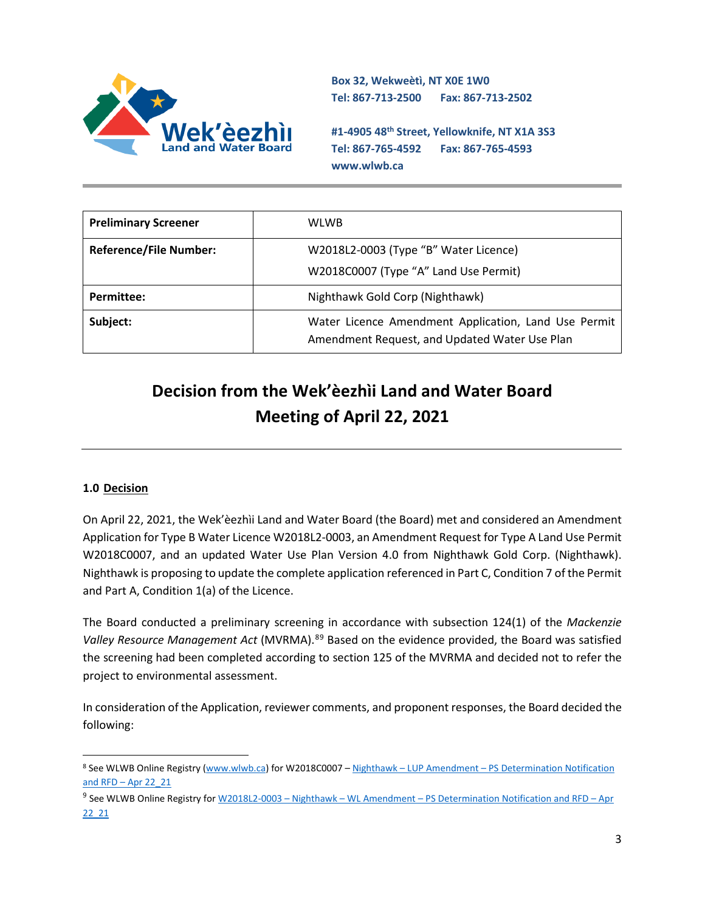

**Box 32, Wekweètì, NT X0E 1W0 Tel: 867-713-2500 Fax: 867-713-2502** 

**#1-4905 48th Street, Yellowknife, NT X1A 3S3 Tel: 867-765-4592 Fax: 867-765-4593 www.wlwb.ca**

| <b>Preliminary Screener</b>   | <b>WLWB</b>                                                                                           |
|-------------------------------|-------------------------------------------------------------------------------------------------------|
| <b>Reference/File Number:</b> | W2018L2-0003 (Type "B" Water Licence)                                                                 |
|                               | W2018C0007 (Type "A" Land Use Permit)                                                                 |
| <b>Permittee:</b>             | Nighthawk Gold Corp (Nighthawk)                                                                       |
| Subject:                      | Water Licence Amendment Application, Land Use Permit<br>Amendment Request, and Updated Water Use Plan |

# **Decision from the Wek'èezhìi Land and Water Board Meeting of April 22, 2021**

## **1.0 Decision**

On April 22, 2021, the Wek'èezhìi Land and Water Board (the Board) met and considered an Amendment Application for Type B Water Licence W2018L2-0003, an Amendment Request for Type A Land Use Permit W2018C0007, and an updated Water Use Plan Version 4.0 from Nighthawk Gold Corp. (Nighthawk). Nighthawk is proposing to update the complete application referenced in Part C, Condition 7 of the Permit and Part A, Condition 1(a) of the Licence.

The Board conducted a preliminary screening in accordance with subsection 124(1) of the *Mackenzie Valley Resource Management Act* (MVRMA).[8](#page-2-0)[9](#page-2-1) Based on the evidence provided, the Board was satisfied the screening had been completed according to section 125 of the MVRMA and decided not to refer the project to environmental assessment.

In consideration of the Application, reviewer comments, and proponent responses, the Board decided the following:

<span id="page-2-0"></span><sup>8</sup> See WLWB Online Registry [\(www.wlwb.ca\)](http://www.wlwb.ca/) for W2018C0007 – Nighthawk – LUP Amendment – [PS Determination Notification](http://registry.mvlwb.ca/Documents/W2018L2-0003/W2018L2-0003%20-%20Nighthawk%20-%20WL%20and%20LUP%20Amendment%20-%20PS%20Determination%20Notification%20and%20RFD%20-%20Apr%2022_21.pdf)  and RFD – [Apr 22\\_21](http://registry.mvlwb.ca/Documents/W2018L2-0003/W2018L2-0003%20-%20Nighthawk%20-%20WL%20and%20LUP%20Amendment%20-%20PS%20Determination%20Notification%20and%20RFD%20-%20Apr%2022_21.pdf)

<span id="page-2-1"></span><sup>9</sup> See WLWB Online Registry for W2018L2-0003 – Nighthawk – WL Amendment – [PS Determination Notification and RFD –](http://registry.mvlwb.ca/Documents/W2018L2-0003/W2018L2-0003%20-%20Nighthawk%20-%20WL%20and%20LUP%20Amendment%20-%20PS%20Determination%20Notification%20and%20RFD%20-%20Apr%2022_21.pdf) Apr [22\\_21](http://registry.mvlwb.ca/Documents/W2018L2-0003/W2018L2-0003%20-%20Nighthawk%20-%20WL%20and%20LUP%20Amendment%20-%20PS%20Determination%20Notification%20and%20RFD%20-%20Apr%2022_21.pdf)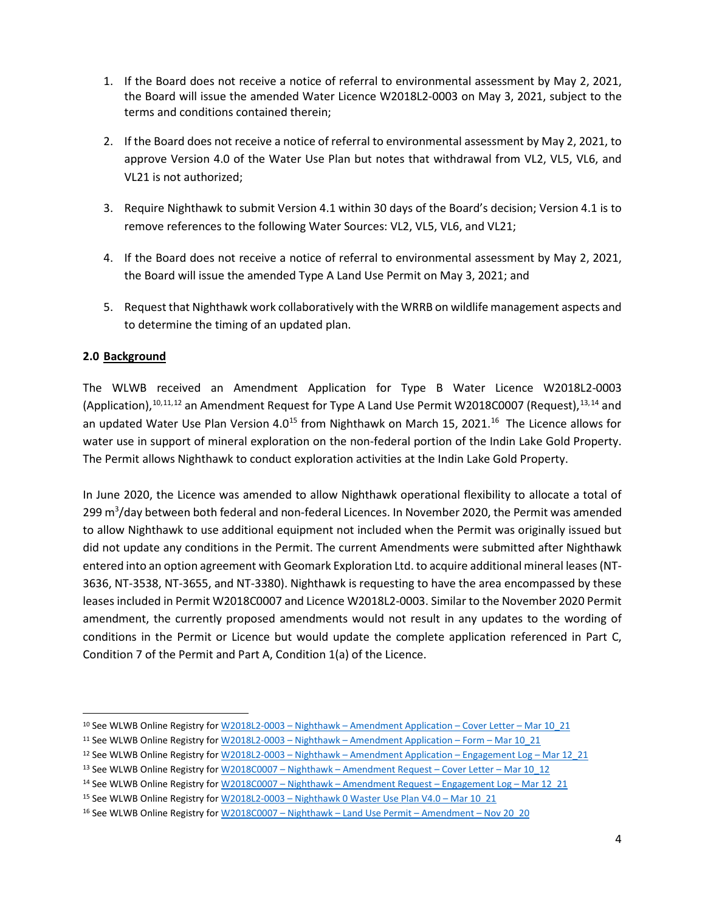- 1. If the Board does not receive a notice of referral to environmental assessment by May 2, 2021, the Board will issue the amended Water Licence W2018L2-0003 on May 3, 2021, subject to the terms and conditions contained therein;
- 2. If the Board does not receive a notice of referral to environmental assessment by May 2, 2021, to approve Version 4.0 of the Water Use Plan but notes that withdrawal from VL2, VL5, VL6, and VL21 is not authorized;
- 3. Require Nighthawk to submit Version 4.1 within 30 days of the Board's decision; Version 4.1 is to remove references to the following Water Sources: VL2, VL5, VL6, and VL21;
- 4. If the Board does not receive a notice of referral to environmental assessment by May 2, 2021, the Board will issue the amended Type A Land Use Permit on May 3, 2021; and
- 5. Request that Nighthawk work collaboratively with the WRRB on wildlife management aspects and to determine the timing of an updated plan.

#### **2.0 Background**

The WLWB received an Amendment Application for Type B Water Licence W2018L2-0003 (Application), <sup>[10,](#page-3-0) [11,](#page-3-1) [12](#page-3-2)</sup> an Amendment Request for Type A Land Use Permit W2018C0007 (Request), <sup>[13,](#page-3-3) [14](#page-3-4)</sup> and an updated Water Use Plan Version 4.0<sup>15</sup> from Nighthawk on March 15, 2021.<sup>16</sup> The Licence allows for water use in support of mineral exploration on the non-federal portion of the Indin Lake Gold Property. The Permit allows Nighthawk to conduct exploration activities at the Indin Lake Gold Property.

In June 2020, the Licence was amended to allow Nighthawk operational flexibility to allocate a total of 299 m<sup>3</sup>/day between both federal and non-federal Licences. In November 2020, the Permit was amended to allow Nighthawk to use additional equipment not included when the Permit was originally issued but did not update any conditions in the Permit. The current Amendments were submitted after Nighthawk entered into an option agreement with Geomark Exploration Ltd. to acquire additional mineral leases (NT-3636, NT-3538, NT-3655, and NT-3380). Nighthawk is requesting to have the area encompassed by these leases included in Permit W2018C0007 and Licence W2018L2-0003. Similar to the November 2020 Permit amendment, the currently proposed amendments would not result in any updates to the wording of conditions in the Permit or Licence but would update the complete application referenced in Part C, Condition 7 of the Permit and Part A, Condition 1(a) of the Licence.

<span id="page-3-0"></span><sup>10</sup> See WLWB Online Registry for W2018L2-0003 – Nighthawk – [Amendment Application –](http://registry.mvlwb.ca/Documents/W2018L2-0003/W2018L2-0003%20-%20Nighthawk%20-%20Amendment%20Application%20-%20Cover%20Letter%20-%20Mar%2010_20.pdf) Cover Letter – Mar 10\_21

<span id="page-3-1"></span><sup>11</sup> See WLWB Online Registry for W2018L2-0003 – Nighthawk – [Amendment Application –](http://registry.mvlwb.ca/Documents/W2018L2-0003/W2018L2-0003%20-%20Nighthawk%20-%20Amendment%20Application%20-%20Form%20-%20Mar%2010_21.pdf) Form – Mar 10\_21

<span id="page-3-2"></span><sup>12</sup> See WLWB Online Registry for W2018L2-0003 - Nighthawk - Amendment Application - Engagement Log - Mar 12\_21

<span id="page-3-3"></span><sup>13</sup> See WLWB Online Registry for W2018C0007 - Nighthawk - Amendment Request - Cover Letter - Mar 10\_12

<span id="page-3-4"></span><sup>14</sup> See WLWB Online Registry for W2018C0007 - Nighthawk - Amendment Request - Engagement Log - Mar 12\_21

<span id="page-3-5"></span><sup>15</sup> See WLWB Online Registry for W2018L2-0003 – [Nighthawk 0 Waster Use Plan V4.0 –](http://registry.mvlwb.ca/Documents/W2018L2-0003/W2018L2-0003%20-%20Nighthawk%20-%20Water%20Use%20Plan%20V4.0%20-%20Mar%2010_21.pdf) Mar 10\_21

<span id="page-3-6"></span><sup>&</sup>lt;sup>16</sup> See WLWB Online Registry for W2018C0007 - Nighthawk - Land Use Permit - Amendment - Nov 20\_20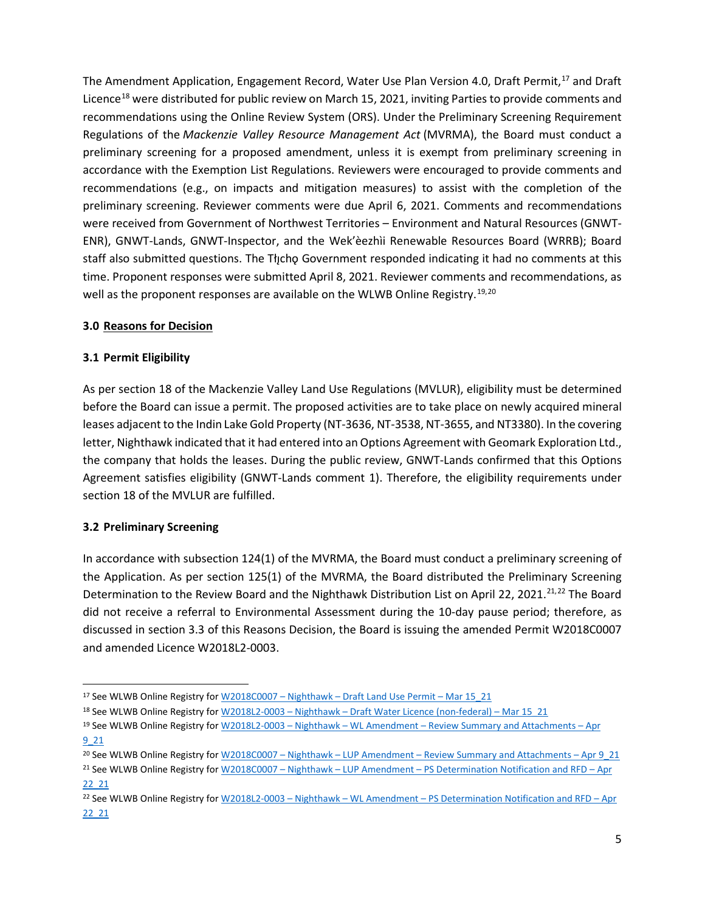The Amendment Application, Engagement Record, Water Use Plan Version 4.0, Draft Permit,<sup>[17](#page-4-0)</sup> and Draft Licence<sup>[18](#page-4-1)</sup> were distributed for public review on March 15, 2021, inviting Parties to provide comments and recommendations using the Online Review System (ORS). Under the Preliminary Screening Requirement Regulations of the *Mackenzie Valley Resource Management Act* (MVRMA), the Board must conduct a preliminary screening for a proposed amendment, unless it is exempt from preliminary screening in accordance with the Exemption List Regulations. Reviewers were encouraged to provide comments and recommendations (e.g., on impacts and mitigation measures) to assist with the completion of the preliminary screening. Reviewer comments were due April 6, 2021. Comments and recommendations were received from Government of Northwest Territories – Environment and Natural Resources (GNWT-ENR), GNWT-Lands, GNWT-Inspector, and the Wek'èezhìi Renewable Resources Board (WRRB); Board staff also submitted questions. The Tłįchǫ Government responded indicating it had no comments at this time. Proponent responses were submitted April 8, 2021. Reviewer comments and recommendations, as well as the proponent responses are available on the WLWB Online Registry.<sup>[19,](#page-4-2)[20](#page-4-3)</sup>

#### **3.0 Reasons for Decision**

## **3.1 Permit Eligibility**

As per section 18 of the Mackenzie Valley Land Use Regulations (MVLUR), eligibility must be determined before the Board can issue a permit. The proposed activities are to take place on newly acquired mineral leases adjacent to the Indin Lake Gold Property (NT-3636, NT-3538, NT-3655, and NT3380). In the covering letter, Nighthawk indicated that it had entered into an Options Agreement with Geomark Exploration Ltd., the company that holds the leases. During the public review, GNWT-Lands confirmed that this Options Agreement satisfies eligibility (GNWT-Lands comment 1). Therefore, the eligibility requirements under section 18 of the MVLUR are fulfilled.

## **3.2 Preliminary Screening**

In accordance with subsection 124(1) of the MVRMA, the Board must conduct a preliminary screening of the Application. As per section 125(1) of the MVRMA, the Board distributed the Preliminary Screening Determination to the Review Board and the Nighthawk Distribution List on April 22, 20[21](#page-4-4).<sup>21,[22](#page-4-5)</sup> The Board did not receive a referral to Environmental Assessment during the 10-day pause period; therefore, as discussed in section 3.3 of this Reasons Decision, the Board is issuing the amended Permit W2018C0007 and amended Licence W2018L2-0003.

<span id="page-4-0"></span><sup>17</sup> See WLWB Online Registry for W2018C0007 - Nighthawk - Draft Land Use Permit - Mar 15 21

<span id="page-4-1"></span><sup>18</sup> See WLWB Online Registry for W2018L2-0003 - Nighthawk - Draft Water Licence (non-federal) - Mar 15 21

<span id="page-4-2"></span><sup>19</sup> See WLWB Online Registry for W2018L2-0003 – Nighthawk – WL Amendment – [Review Summary and](http://registry.mvlwb.ca/Documents/W2018L2-0003/W2018L2-0003%20-%20Nighthawk%20-%20WL%20Amendment%20-%20Review%20Summary%20and%20Attachments%20-%20Apr%209_21.pdf) Attachments – Apr [9\\_21](http://registry.mvlwb.ca/Documents/W2018L2-0003/W2018L2-0003%20-%20Nighthawk%20-%20WL%20Amendment%20-%20Review%20Summary%20and%20Attachments%20-%20Apr%209_21.pdf)

<span id="page-4-4"></span><span id="page-4-3"></span><sup>20</sup> See WLWB Online Registry for W2018C0007 – Nighthawk – LUP Amendment – [Review Summary and Attachments –](http://registry.mvlwb.ca/Documents/W2018C0007/W2018C0007%20-%20Nighthawk%20-%20LUP%20Amendment%20-%20Review%20Summary%20and%20Attachments%20-%20Apr%209_21.pdf) Apr 9\_21 <sup>21</sup> See WLWB Online Registry for W2018C0007 – Nighthawk – LUP Amendment – [PS Determination Notification and RFD –](http://registry.mvlwb.ca/Documents/W2018L2-0003/W2018L2-0003%20-%20Nighthawk%20-%20WL%20and%20LUP%20Amendment%20-%20PS%20Determination%20Notification%20and%20RFD%20-%20Apr%2022_21.pdf) Apr [22\\_21](http://registry.mvlwb.ca/Documents/W2018L2-0003/W2018L2-0003%20-%20Nighthawk%20-%20WL%20and%20LUP%20Amendment%20-%20PS%20Determination%20Notification%20and%20RFD%20-%20Apr%2022_21.pdf)

<span id="page-4-5"></span><sup>22</sup> See WLWB Online Registry for W2018L2-0003 – Nighthawk – WL Amendment – [PS Determination Notification and RFD –](http://registry.mvlwb.ca/Documents/W2018L2-0003/W2018L2-0003%20-%20Nighthawk%20-%20WL%20and%20LUP%20Amendment%20-%20PS%20Determination%20Notification%20and%20RFD%20-%20Apr%2022_21.pdf) Apr [22\\_21](http://registry.mvlwb.ca/Documents/W2018L2-0003/W2018L2-0003%20-%20Nighthawk%20-%20WL%20and%20LUP%20Amendment%20-%20PS%20Determination%20Notification%20and%20RFD%20-%20Apr%2022_21.pdf)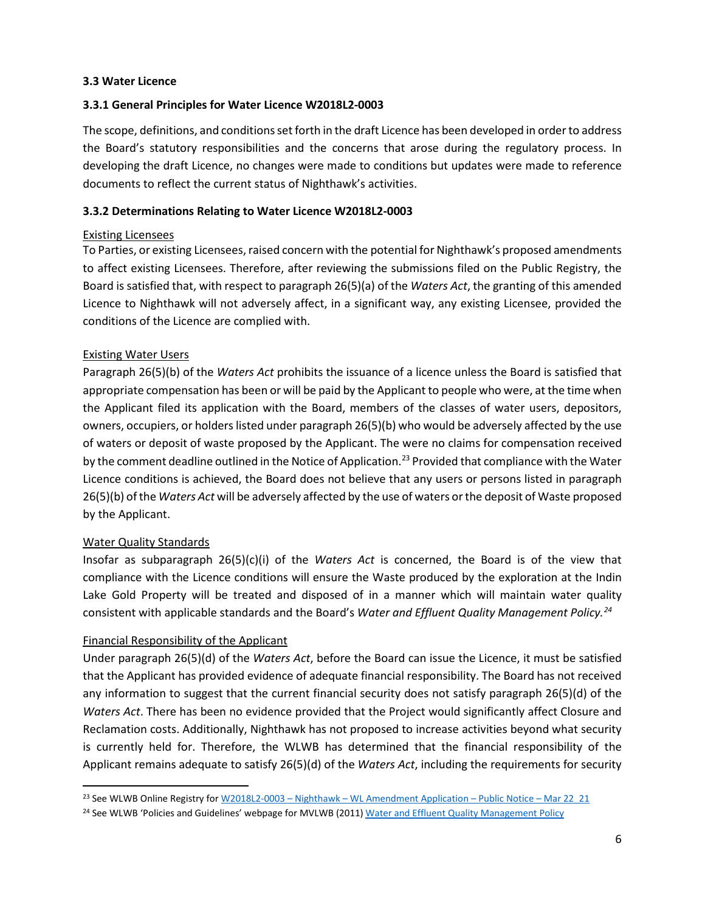#### **3.3 Water Licence**

#### **3.3.1 General Principles for Water Licence W2018L2-0003**

The scope, definitions, and conditions set forth in the draft Licence has been developed in order to address the Board's statutory responsibilities and the concerns that arose during the regulatory process. In developing the draft Licence, no changes were made to conditions but updates were made to reference documents to reflect the current status of Nighthawk's activities.

#### **3.3.2 Determinations Relating to Water Licence W2018L2-0003**

#### Existing Licensees

To Parties, or existing Licensees, raised concern with the potential for Nighthawk's proposed amendments to affect existing Licensees. Therefore, after reviewing the submissions filed on the Public Registry, the Board is satisfied that, with respect to paragraph 26(5)(a) of the *Waters Act*, the granting of this amended Licence to Nighthawk will not adversely affect, in a significant way, any existing Licensee, provided the conditions of the Licence are complied with.

#### Existing Water Users

Paragraph 26(5)(b) of the *Waters Act* prohibits the issuance of a licence unless the Board is satisfied that appropriate compensation has been or will be paid by the Applicant to people who were, at the time when the Applicant filed its application with the Board, members of the classes of water users, depositors, owners, occupiers, or holders listed under paragraph 26(5)(b) who would be adversely affected by the use of waters or deposit of waste proposed by the Applicant. The were no claims for compensation received by the comment deadline outlined in the Notice of Application.<sup>[23](#page-5-0)</sup> Provided that compliance with the Water Licence conditions is achieved, the Board does not believe that any users or persons listed in paragraph 26(5)(b) of the *Waters Act* will be adversely affected by the use of waters or the deposit of Waste proposed by the Applicant.

#### Water Quality Standards

Insofar as subparagraph 26(5)(c)(i) of the *Waters Act* is concerned, the Board is of the view that compliance with the Licence conditions will ensure the Waste produced by the exploration at the Indin Lake Gold Property will be treated and disposed of in a manner which will maintain water quality consistent with applicable standards and the Board's *Water and Effluent Quality Management Policy.[24](#page-5-1)*

#### Financial Responsibility of the Applicant

Under paragraph 26(5)(d) of the *Waters Act*, before the Board can issue the Licence, it must be satisfied that the Applicant has provided evidence of adequate financial responsibility. The Board has not received any information to suggest that the current financial security does not satisfy paragraph 26(5)(d) of the *Waters Act*. There has been no evidence provided that the Project would significantly affect Closure and Reclamation costs. Additionally, Nighthawk has not proposed to increase activities beyond what security is currently held for. Therefore, the WLWB has determined that the financial responsibility of the Applicant remains adequate to satisfy 26(5)(d) of the *Waters Act*, including the requirements for security

<span id="page-5-0"></span><sup>&</sup>lt;sup>23</sup> See WLWB Online Registry for W2018L2-0003 – Nighthawk – [WL Amendment Application –](http://registry.mvlwb.ca/Documents/W2018L2-0003/W2018L2-0003%20-%20Nighthawk%20-%20WL%20Amendment%20-%20Notice%20of%20Application%20-%20Mar%2022_21.pdf) Public Notice – Mar 22\_21

<span id="page-5-1"></span><sup>&</sup>lt;sup>24</sup> See WLWB 'Policies and Guidelines' webpage for MVLWB (2011[\) Water and Effluent Quality Management Policy](https://mvlwb.com/sites/default/files/documents/MVLWB-Water-and-Effluent-Quality-Management-Policy-Mar-31_11-JCWG.pdf)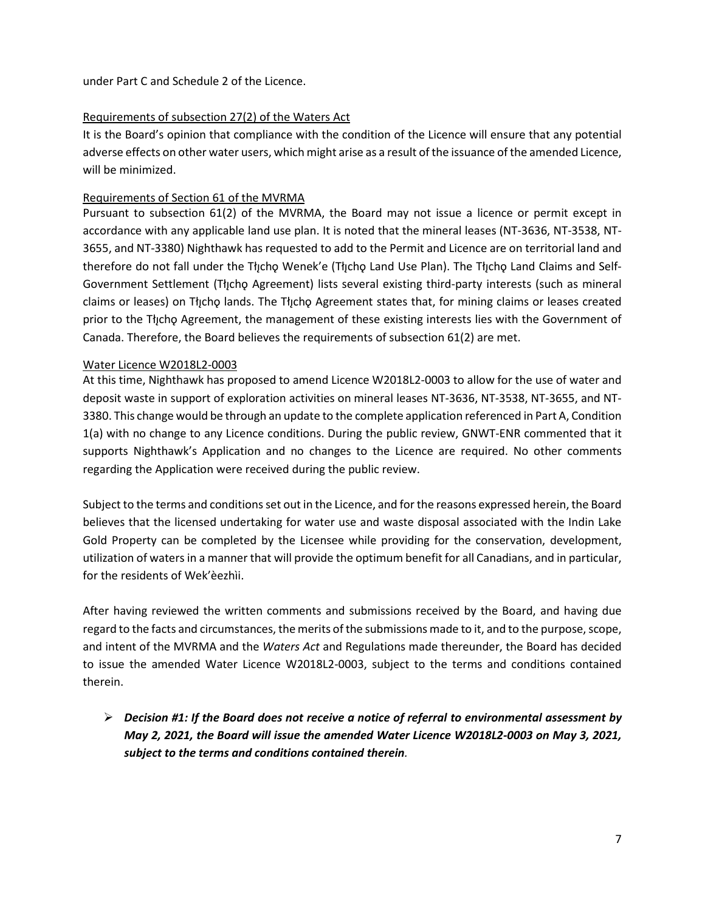under Part C and Schedule 2 of the Licence.

#### Requirements of subsection 27(2) of the Waters Act

It is the Board's opinion that compliance with the condition of the Licence will ensure that any potential adverse effects on other water users, which might arise as a result of the issuance of the amended Licence, will be minimized.

#### Requirements of Section 61 of the MVRMA

Pursuant to subsection 61(2) of the MVRMA, the Board may not issue a licence or permit except in accordance with any applicable land use plan. It is noted that the mineral leases (NT-3636, NT-3538, NT-3655, and NT-3380) Nighthawk has requested to add to the Permit and Licence are on territorial land and therefore do not fall under the Tłycho Wenek'e (Tłycho Land Use Plan). The Tłycho Land Claims and Self-Government Settlement (Tłįchǫ Agreement) lists several existing third-party interests (such as mineral claims or leases) on Tłįchǫ lands. The Tłįchǫ Agreement states that, for mining claims or leases created prior to the Tłįchǫ Agreement, the management of these existing interests lies with the Government of Canada. Therefore, the Board believes the requirements of subsection 61(2) are met.

#### Water Licence W2018L2-0003

At this time, Nighthawk has proposed to amend Licence W2018L2-0003 to allow for the use of water and deposit waste in support of exploration activities on mineral leases NT-3636, NT-3538, NT-3655, and NT-3380. This change would be through an update to the complete application referenced in Part A, Condition 1(a) with no change to any Licence conditions. During the public review, GNWT-ENR commented that it supports Nighthawk's Application and no changes to the Licence are required. No other comments regarding the Application were received during the public review.

Subject to the terms and conditions set out in the Licence, and for the reasons expressed herein, the Board believes that the licensed undertaking for water use and waste disposal associated with the Indin Lake Gold Property can be completed by the Licensee while providing for the conservation, development, utilization of waters in a manner that will provide the optimum benefit for all Canadians, and in particular, for the residents of Wek'èezhìi.

After having reviewed the written comments and submissions received by the Board, and having due regard to the facts and circumstances, the merits of the submissions made to it, and to the purpose, scope, and intent of the MVRMA and the *Waters Act* and Regulations made thereunder, the Board has decided to issue the amended Water Licence W2018L2-0003, subject to the terms and conditions contained therein.

 *Decision #1: If the Board does not receive a notice of referral to environmental assessment by May 2, 2021, the Board will issue the amended Water Licence W2018L2-0003 on May 3, 2021, subject to the terms and conditions contained therein.*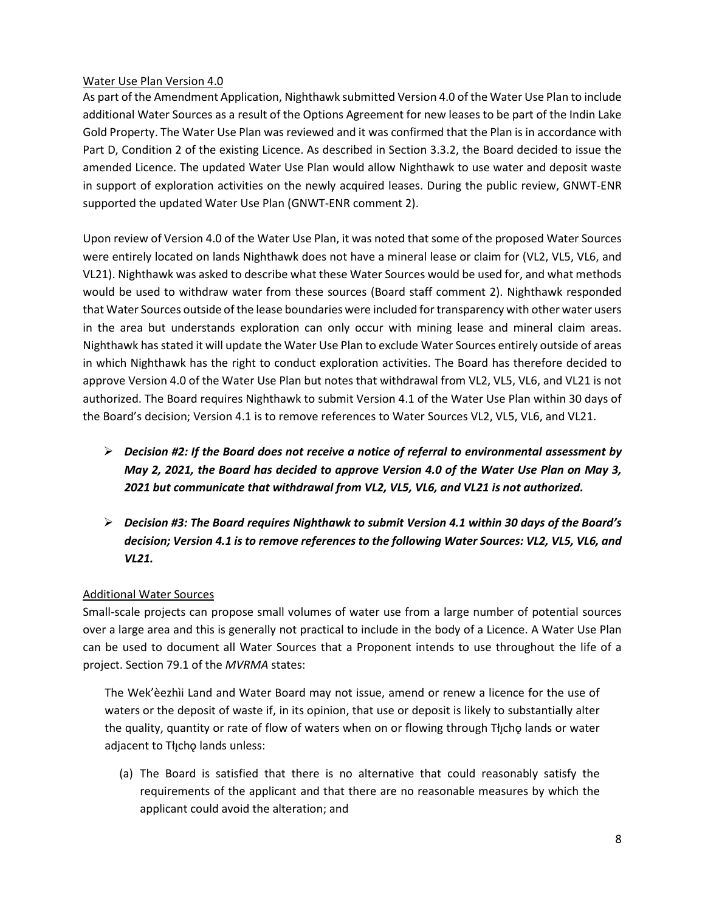#### Water Use Plan Version 4.0

As part of the Amendment Application, Nighthawk submitted Version 4.0 of the Water Use Plan to include additional Water Sources as a result of the Options Agreement for new leases to be part of the Indin Lake Gold Property. The Water Use Plan was reviewed and it was confirmed that the Plan is in accordance with Part D, Condition 2 of the existing Licence. As described in Section 3.3.2, the Board decided to issue the amended Licence. The updated Water Use Plan would allow Nighthawk to use water and deposit waste in support of exploration activities on the newly acquired leases. During the public review, GNWT-ENR supported the updated Water Use Plan (GNWT-ENR comment 2).

Upon review of Version 4.0 of the Water Use Plan, it was noted that some of the proposed Water Sources were entirely located on lands Nighthawk does not have a mineral lease or claim for (VL2, VL5, VL6, and VL21). Nighthawk was asked to describe what these Water Sources would be used for, and what methods would be used to withdraw water from these sources (Board staff comment 2). Nighthawk responded that Water Sources outside of the lease boundaries were included for transparency with other water users in the area but understands exploration can only occur with mining lease and mineral claim areas. Nighthawk has stated it will update the Water Use Plan to exclude Water Sources entirely outside of areas in which Nighthawk has the right to conduct exploration activities. The Board has therefore decided to approve Version 4.0 of the Water Use Plan but notes that withdrawal from VL2, VL5, VL6, and VL21 is not authorized. The Board requires Nighthawk to submit Version 4.1 of the Water Use Plan within 30 days of the Board's decision; Version 4.1 is to remove references to Water Sources VL2, VL5, VL6, and VL21.

- *Decision #2: If the Board does not receive a notice of referral to environmental assessment by May 2, 2021, the Board has decided to approve Version 4.0 of the Water Use Plan on May 3, 2021 but communicate that withdrawal from VL2, VL5, VL6, and VL21 is not authorized.*
- *Decision #3: The Board requires Nighthawk to submit Version 4.1 within 30 days of the Board's decision; Version 4.1 is to remove references to the following Water Sources: VL2, VL5, VL6, and VL21.*

## Additional Water Sources

Small-scale projects can propose small volumes of water use from a large number of potential sources over a large area and this is generally not practical to include in the body of a Licence. A Water Use Plan can be used to document all Water Sources that a Proponent intends to use throughout the life of a project. Section 79.1 of the *MVRMA* states:

The Wek'èezhìi Land and Water Board may not issue, amend or renew a licence for the use of waters or the deposit of waste if, in its opinion, that use or deposit is likely to substantially alter the quality, quantity or rate of flow of waters when on or flowing through Tłicho lands or water adjacent to Tłıcho lands unless:

(a) The Board is satisfied that there is no alternative that could reasonably satisfy the requirements of the applicant and that there are no reasonable measures by which the applicant could avoid the alteration; and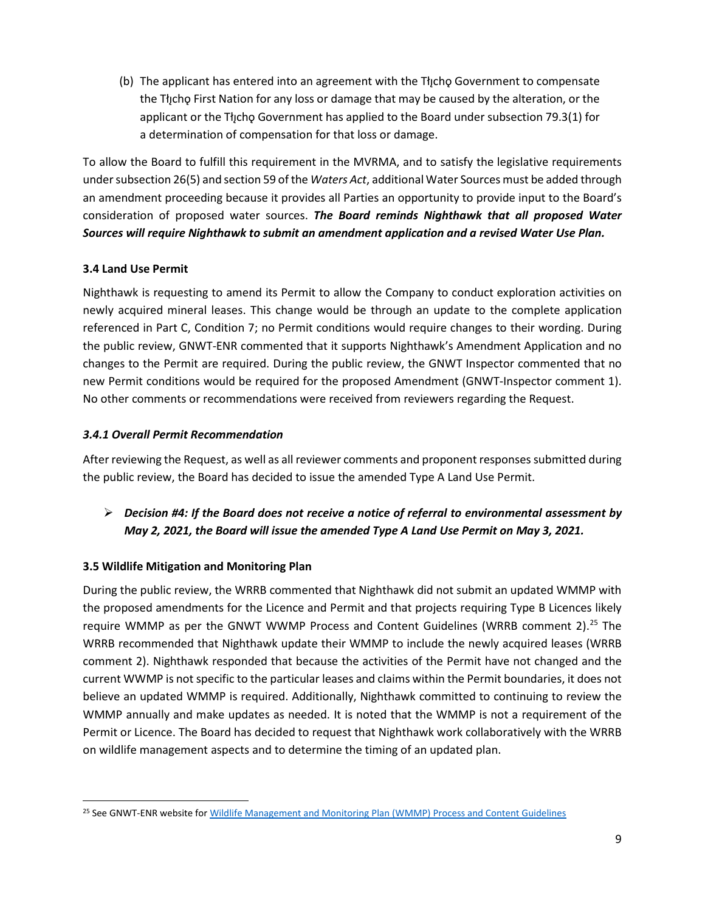(b) The applicant has entered into an agreement with the Tł<sub>i</sub>cho Government to compensate the The The First Nation for any loss or damage that may be caused by the alteration, or the applicant or the Tłıcho Government has applied to the Board under subsection 79.3(1) for a determination of compensation for that loss or damage.

To allow the Board to fulfill this requirement in the MVRMA, and to satisfy the legislative requirements under subsection 26(5) and section 59 of the *Waters Act*, additional Water Sources must be added through an amendment proceeding because it provides all Parties an opportunity to provide input to the Board's consideration of proposed water sources. *The Board reminds Nighthawk that all proposed Water Sources will require Nighthawk to submit an amendment application and a revised Water Use Plan.*

## **3.4 Land Use Permit**

Nighthawk is requesting to amend its Permit to allow the Company to conduct exploration activities on newly acquired mineral leases. This change would be through an update to the complete application referenced in Part C, Condition 7; no Permit conditions would require changes to their wording. During the public review, GNWT-ENR commented that it supports Nighthawk's Amendment Application and no changes to the Permit are required. During the public review, the GNWT Inspector commented that no new Permit conditions would be required for the proposed Amendment (GNWT-Inspector comment 1). No other comments or recommendations were received from reviewers regarding the Request.

## *3.4.1 Overall Permit Recommendation*

After reviewing the Request, as well as all reviewer comments and proponent responses submitted during the public review, the Board has decided to issue the amended Type A Land Use Permit.

 *Decision #4: If the Board does not receive a notice of referral to environmental assessment by May 2, 2021, the Board will issue the amended Type A Land Use Permit on May 3, 2021.*

## **3.5 Wildlife Mitigation and Monitoring Plan**

During the public review, the WRRB commented that Nighthawk did not submit an updated WMMP with the proposed amendments for the Licence and Permit and that projects requiring Type B Licences likely require WMMP as per the GNWT WWMP Process and Content Guidelines (WRRB comment 2).<sup>[25](#page-8-0)</sup> The WRRB recommended that Nighthawk update their WMMP to include the newly acquired leases (WRRB comment 2). Nighthawk responded that because the activities of the Permit have not changed and the current WWMP is not specific to the particular leases and claims within the Permit boundaries, it does not believe an updated WMMP is required. Additionally, Nighthawk committed to continuing to review the WMMP annually and make updates as needed. It is noted that the WMMP is not a requirement of the Permit or Licence. The Board has decided to request that Nighthawk work collaboratively with the WRRB on wildlife management aspects and to determine the timing of an updated plan.

<span id="page-8-0"></span><sup>&</sup>lt;sup>25</sup> See GNWT-ENR website fo[r Wildlife Management and Monitoring Plan \(WMMP\) Process and Content Guidelines](https://www.enr.gov.nt.ca/sites/enr/files/resources/wmmp_process_and_content_guidelines_june_2019.pdf)